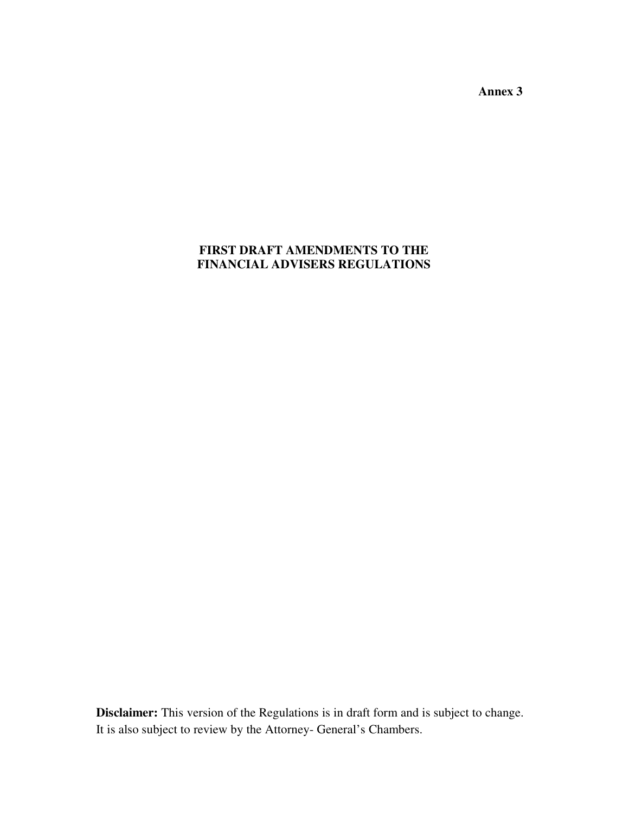**Annex 3** 

# **FIRST DRAFT AMENDMENTS TO THE FINANCIAL ADVISERS REGULATIONS**

**Disclaimer:** This version of the Regulations is in draft form and is subject to change. It is also subject to review by the Attorney- General's Chambers.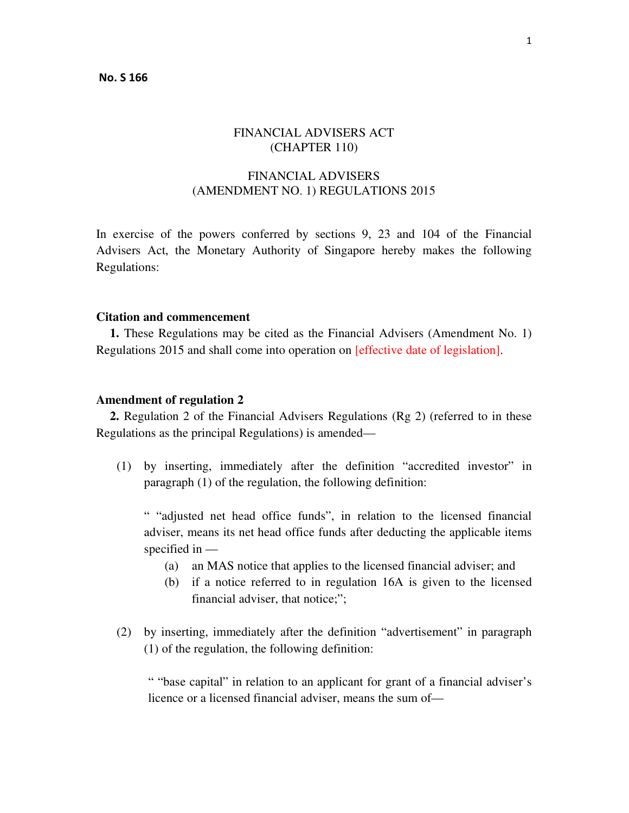## FINANCIAL ADVISERS ACT (CHAPTER 110)

# FINANCIAL ADVISERS (AMENDMENT NO. 1) REGULATIONS 2015

In exercise of the powers conferred by sections 9, 23 and 104 of the Financial Advisers Act, the Monetary Authority of Singapore hereby makes the following Regulations:

#### **Citation and commencement**

**1.** These Regulations may be cited as the Financial Advisers (Amendment No. 1) Regulations 2015 and shall come into operation on [effective date of legislation].

#### **Amendment of regulation 2**

**2.** Regulation 2 of the Financial Advisers Regulations (Rg 2) (referred to in these Regulations as the principal Regulations) is amended—

(1) by inserting, immediately after the definition "accredited investor" in paragraph (1) of the regulation, the following definition:

" "adjusted net head office funds", in relation to the licensed financial adviser, means its net head office funds after deducting the applicable items specified in —

- (a) an MAS notice that applies to the licensed financial adviser; and
- (b) if a notice referred to in regulation 16A is given to the licensed financial adviser, that notice;";
- (2) by inserting, immediately after the definition "advertisement" in paragraph (1) of the regulation, the following definition:

" "base capital" in relation to an applicant for grant of a financial adviser's licence or a licensed financial adviser, means the sum of—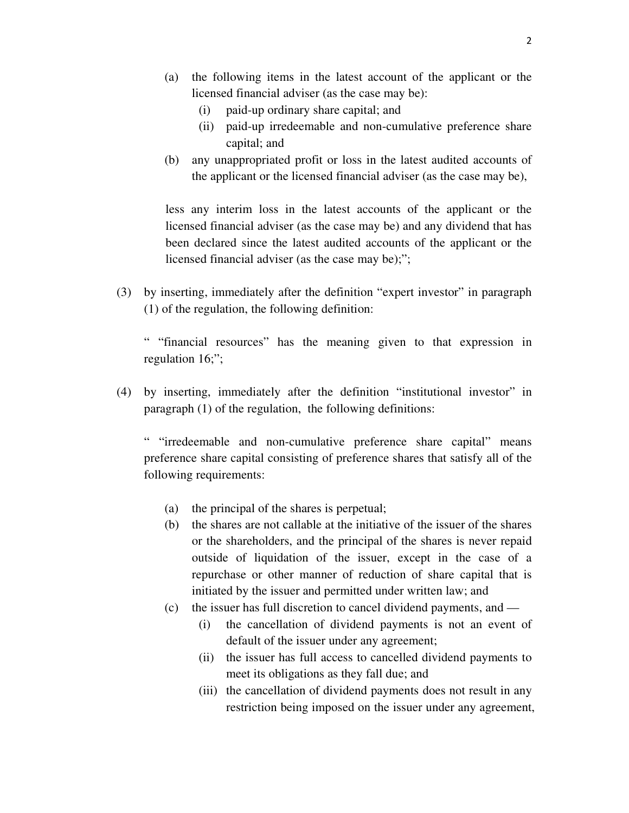- (a) the following items in the latest account of the applicant or the licensed financial adviser (as the case may be):
	- (i) paid-up ordinary share capital; and
	- (ii) paid-up irredeemable and non-cumulative preference share capital; and
- (b) any unappropriated profit or loss in the latest audited accounts of the applicant or the licensed financial adviser (as the case may be),

less any interim loss in the latest accounts of the applicant or the licensed financial adviser (as the case may be) and any dividend that has been declared since the latest audited accounts of the applicant or the licensed financial adviser (as the case may be);";

(3) by inserting, immediately after the definition "expert investor" in paragraph (1) of the regulation, the following definition:

" "financial resources" has the meaning given to that expression in regulation 16;";

(4) by inserting, immediately after the definition "institutional investor" in paragraph (1) of the regulation, the following definitions:

" "irredeemable and non-cumulative preference share capital" means preference share capital consisting of preference shares that satisfy all of the following requirements:

- (a) the principal of the shares is perpetual;
- (b) the shares are not callable at the initiative of the issuer of the shares or the shareholders, and the principal of the shares is never repaid outside of liquidation of the issuer, except in the case of a repurchase or other manner of reduction of share capital that is initiated by the issuer and permitted under written law; and
- (c) the issuer has full discretion to cancel dividend payments, and
	- (i) the cancellation of dividend payments is not an event of default of the issuer under any agreement;
	- (ii) the issuer has full access to cancelled dividend payments to meet its obligations as they fall due; and
	- (iii) the cancellation of dividend payments does not result in any restriction being imposed on the issuer under any agreement,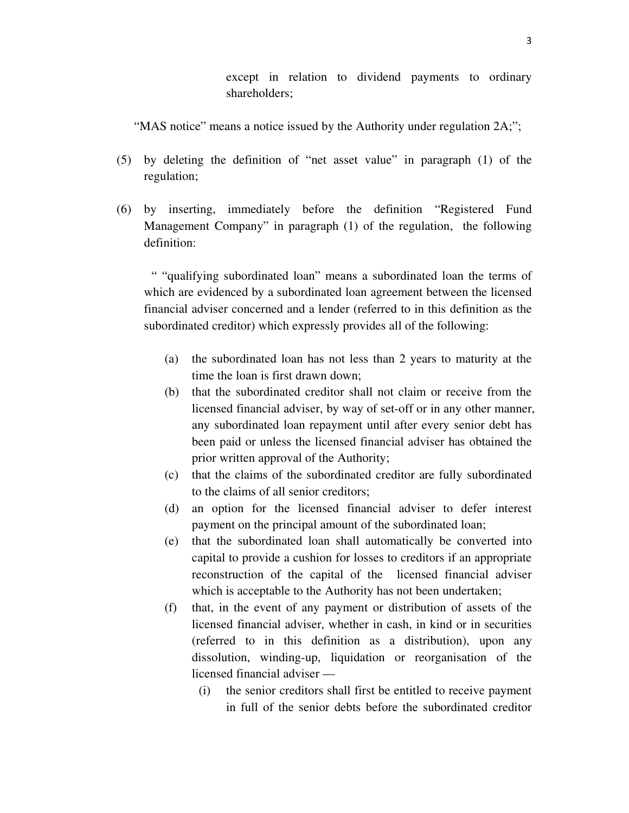except in relation to dividend payments to ordinary shareholders;

"MAS notice" means a notice issued by the Authority under regulation 2A;";

- (5) by deleting the definition of "net asset value" in paragraph (1) of the regulation;
- (6) by inserting, immediately before the definition "Registered Fund Management Company" in paragraph (1) of the regulation, the following definition:

" "qualifying subordinated loan" means a subordinated loan the terms of which are evidenced by a subordinated loan agreement between the licensed financial adviser concerned and a lender (referred to in this definition as the subordinated creditor) which expressly provides all of the following:

- (a) the subordinated loan has not less than 2 years to maturity at the time the loan is first drawn down;
- (b) that the subordinated creditor shall not claim or receive from the licensed financial adviser, by way of set-off or in any other manner, any subordinated loan repayment until after every senior debt has been paid or unless the licensed financial adviser has obtained the prior written approval of the Authority;
- (c) that the claims of the subordinated creditor are fully subordinated to the claims of all senior creditors;
- (d) an option for the licensed financial adviser to defer interest payment on the principal amount of the subordinated loan;
- (e) that the subordinated loan shall automatically be converted into capital to provide a cushion for losses to creditors if an appropriate reconstruction of the capital of the licensed financial adviser which is acceptable to the Authority has not been undertaken;
- (f) that, in the event of any payment or distribution of assets of the licensed financial adviser, whether in cash, in kind or in securities (referred to in this definition as a distribution), upon any dissolution, winding-up, liquidation or reorganisation of the licensed financial adviser —
	- (i) the senior creditors shall first be entitled to receive payment in full of the senior debts before the subordinated creditor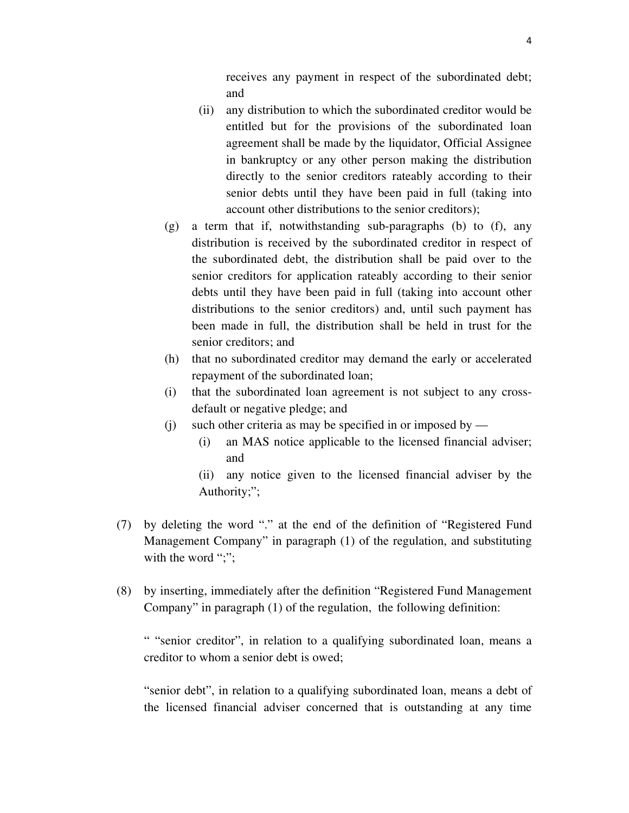receives any payment in respect of the subordinated debt; and

- (ii) any distribution to which the subordinated creditor would be entitled but for the provisions of the subordinated loan agreement shall be made by the liquidator, Official Assignee in bankruptcy or any other person making the distribution directly to the senior creditors rateably according to their senior debts until they have been paid in full (taking into account other distributions to the senior creditors);
- (g) a term that if, notwithstanding sub-paragraphs (b) to (f), any distribution is received by the subordinated creditor in respect of the subordinated debt, the distribution shall be paid over to the senior creditors for application rateably according to their senior debts until they have been paid in full (taking into account other distributions to the senior creditors) and, until such payment has been made in full, the distribution shall be held in trust for the senior creditors; and
- (h) that no subordinated creditor may demand the early or accelerated repayment of the subordinated loan;
- (i) that the subordinated loan agreement is not subject to any crossdefault or negative pledge; and
- (i) such other criteria as may be specified in or imposed by  $-$ 
	- (i) an MAS notice applicable to the licensed financial adviser; and
	- (ii) any notice given to the licensed financial adviser by the Authority;";
- (7) by deleting the word "." at the end of the definition of "Registered Fund Management Company" in paragraph (1) of the regulation, and substituting with the word ";";
- (8) by inserting, immediately after the definition "Registered Fund Management Company" in paragraph (1) of the regulation, the following definition:

" "senior creditor", in relation to a qualifying subordinated loan, means a creditor to whom a senior debt is owed;

"senior debt", in relation to a qualifying subordinated loan, means a debt of the licensed financial adviser concerned that is outstanding at any time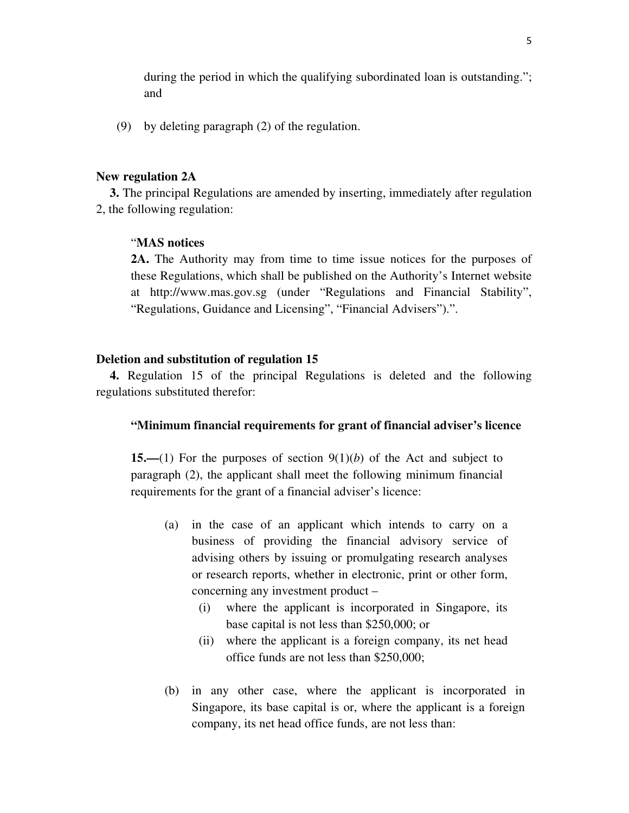during the period in which the qualifying subordinated loan is outstanding."; and

(9) by deleting paragraph (2) of the regulation.

#### **New regulation 2A**

**3.** The principal Regulations are amended by inserting, immediately after regulation 2, the following regulation:

#### "**MAS notices**

**2A.** The Authority may from time to time issue notices for the purposes of these Regulations, which shall be published on the Authority's Internet website at http://www.mas.gov.sg (under "Regulations and Financial Stability", "Regulations, Guidance and Licensing", "Financial Advisers").".

#### **Deletion and substitution of regulation 15**

**4.** Regulation 15 of the principal Regulations is deleted and the following regulations substituted therefor:

## **"Minimum financial requirements for grant of financial adviser's licence**

**15.—**(1) For the purposes of section 9(1)(*b*) of the Act and subject to paragraph (2), the applicant shall meet the following minimum financial requirements for the grant of a financial adviser's licence:

- (a) in the case of an applicant which intends to carry on a business of providing the financial advisory service of advising others by issuing or promulgating research analyses or research reports, whether in electronic, print or other form, concerning any investment product –
	- (i) where the applicant is incorporated in Singapore, its base capital is not less than \$250,000; or
	- (ii) where the applicant is a foreign company, its net head office funds are not less than \$250,000;
- (b) in any other case, where the applicant is incorporated in Singapore, its base capital is or, where the applicant is a foreign company, its net head office funds, are not less than: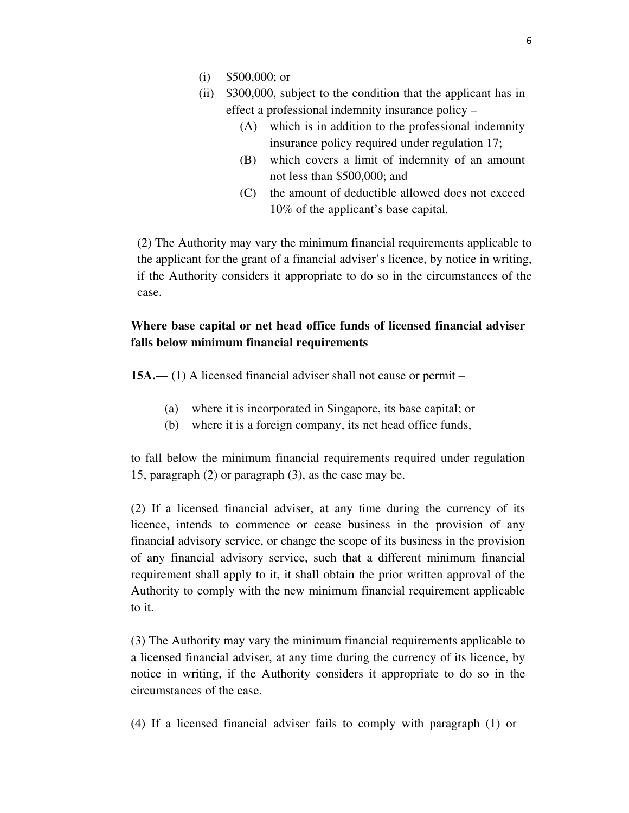- (i) \$500,000; or
- (ii) \$300,000, subject to the condition that the applicant has in effect a professional indemnity insurance policy –
	- (A) which is in addition to the professional indemnity insurance policy required under regulation 17;
	- (B) which covers a limit of indemnity of an amount not less than \$500,000; and
	- (C) the amount of deductible allowed does not exceed 10% of the applicant's base capital.

(2) The Authority may vary the minimum financial requirements applicable to the applicant for the grant of a financial adviser's licence, by notice in writing, if the Authority considers it appropriate to do so in the circumstances of the case.

## **Where base capital or net head office funds of licensed financial adviser falls below minimum financial requirements**

**15A.—** (1) A licensed financial adviser shall not cause or permit –

- (a) where it is incorporated in Singapore, its base capital; or
- (b) where it is a foreign company, its net head office funds,

to fall below the minimum financial requirements required under regulation 15, paragraph (2) or paragraph (3), as the case may be.

(2) If a licensed financial adviser, at any time during the currency of its licence, intends to commence or cease business in the provision of any financial advisory service, or change the scope of its business in the provision of any financial advisory service, such that a different minimum financial requirement shall apply to it, it shall obtain the prior written approval of the Authority to comply with the new minimum financial requirement applicable to it.

(3) The Authority may vary the minimum financial requirements applicable to a licensed financial adviser, at any time during the currency of its licence, by notice in writing, if the Authority considers it appropriate to do so in the circumstances of the case.

(4) If a licensed financial adviser fails to comply with paragraph (1) or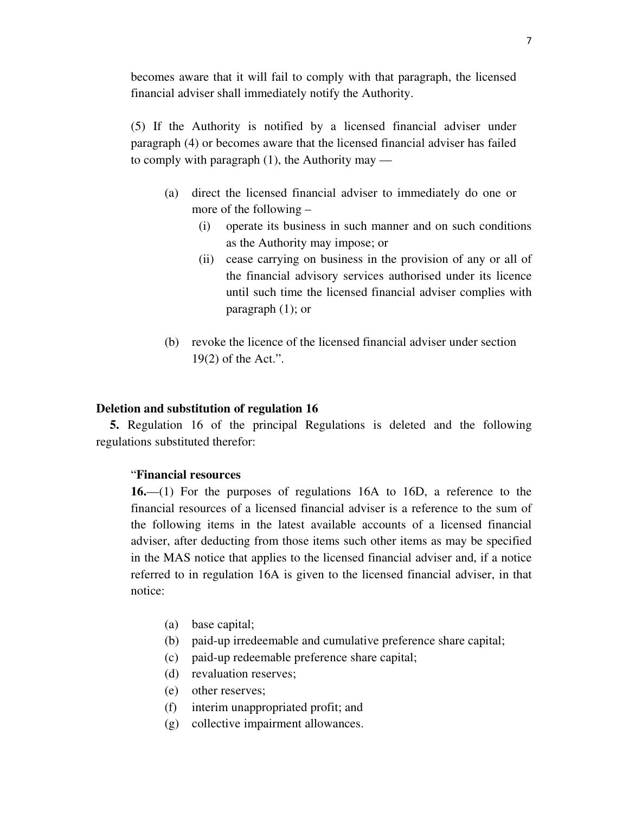becomes aware that it will fail to comply with that paragraph, the licensed financial adviser shall immediately notify the Authority.

(5) If the Authority is notified by a licensed financial adviser under paragraph (4) or becomes aware that the licensed financial adviser has failed to comply with paragraph  $(1)$ , the Authority may —

- (a) direct the licensed financial adviser to immediately do one or more of the following –
	- (i) operate its business in such manner and on such conditions as the Authority may impose; or
	- (ii) cease carrying on business in the provision of any or all of the financial advisory services authorised under its licence until such time the licensed financial adviser complies with paragraph (1); or
- (b) revoke the licence of the licensed financial adviser under section 19(2) of the Act.".

## **Deletion and substitution of regulation 16**

**5.** Regulation 16 of the principal Regulations is deleted and the following regulations substituted therefor:

#### "**Financial resources**

**16.**—(1) For the purposes of regulations 16A to 16D, a reference to the financial resources of a licensed financial adviser is a reference to the sum of the following items in the latest available accounts of a licensed financial adviser, after deducting from those items such other items as may be specified in the MAS notice that applies to the licensed financial adviser and, if a notice referred to in regulation 16A is given to the licensed financial adviser, in that notice:

- (a) base capital;
- (b) paid-up irredeemable and cumulative preference share capital;
- (c) paid-up redeemable preference share capital;
- (d) revaluation reserves;
- (e) other reserves;
- (f) interim unappropriated profit; and
- (g) collective impairment allowances.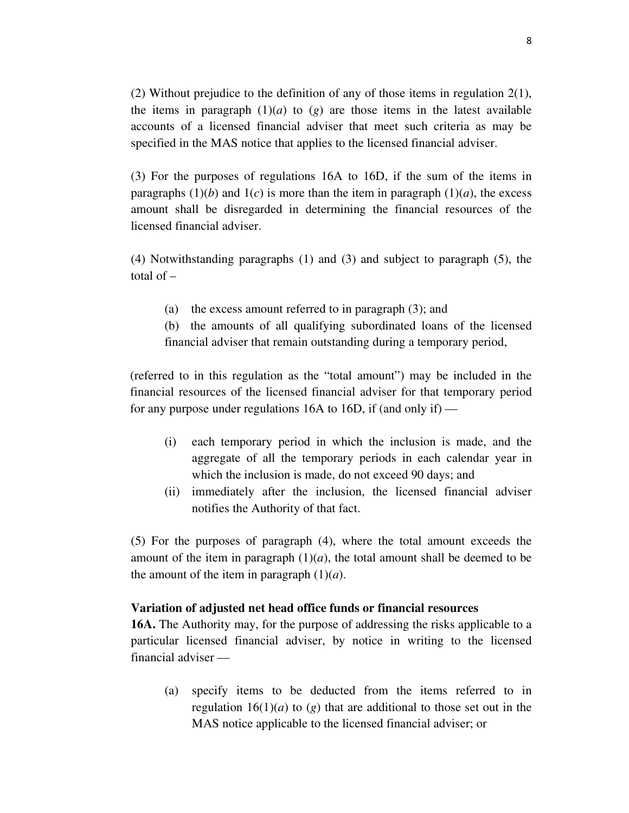(2) Without prejudice to the definition of any of those items in regulation 2(1), the items in paragraph  $(1)(a)$  to  $(g)$  are those items in the latest available accounts of a licensed financial adviser that meet such criteria as may be specified in the MAS notice that applies to the licensed financial adviser.

(3) For the purposes of regulations 16A to 16D, if the sum of the items in paragraphs  $(1)(b)$  and  $1(c)$  is more than the item in paragraph  $(1)(a)$ , the excess amount shall be disregarded in determining the financial resources of the licensed financial adviser.

(4) Notwithstanding paragraphs (1) and (3) and subject to paragraph (5), the total of –

- (a) the excess amount referred to in paragraph (3); and
- (b) the amounts of all qualifying subordinated loans of the licensed financial adviser that remain outstanding during a temporary period,

(referred to in this regulation as the "total amount") may be included in the financial resources of the licensed financial adviser for that temporary period for any purpose under regulations 16A to 16D, if (and only if) —

- (i) each temporary period in which the inclusion is made, and the aggregate of all the temporary periods in each calendar year in which the inclusion is made, do not exceed 90 days; and
- (ii) immediately after the inclusion, the licensed financial adviser notifies the Authority of that fact.

(5) For the purposes of paragraph (4), where the total amount exceeds the amount of the item in paragraph  $(1)(a)$ , the total amount shall be deemed to be the amount of the item in paragraph  $(1)(a)$ .

#### **Variation of adjusted net head office funds or financial resources**

**16A.** The Authority may, for the purpose of addressing the risks applicable to a particular licensed financial adviser, by notice in writing to the licensed financial adviser —

(a) specify items to be deducted from the items referred to in regulation  $16(1)(a)$  to  $(g)$  that are additional to those set out in the MAS notice applicable to the licensed financial adviser; or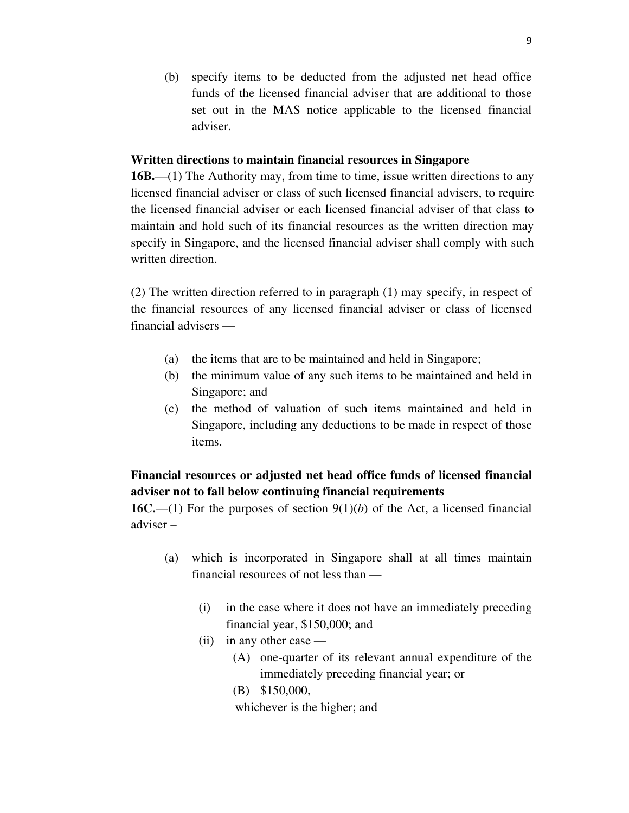(b) specify items to be deducted from the adjusted net head office funds of the licensed financial adviser that are additional to those set out in the MAS notice applicable to the licensed financial adviser.

#### **Written directions to maintain financial resources in Singapore**

**16B.**—(1) The Authority may, from time to time, issue written directions to any licensed financial adviser or class of such licensed financial advisers, to require the licensed financial adviser or each licensed financial adviser of that class to maintain and hold such of its financial resources as the written direction may specify in Singapore, and the licensed financial adviser shall comply with such written direction.

(2) The written direction referred to in paragraph (1) may specify, in respect of the financial resources of any licensed financial adviser or class of licensed financial advisers —

- (a) the items that are to be maintained and held in Singapore;
- (b) the minimum value of any such items to be maintained and held in Singapore; and
- (c) the method of valuation of such items maintained and held in Singapore, including any deductions to be made in respect of those items.

# **Financial resources or adjusted net head office funds of licensed financial adviser not to fall below continuing financial requirements**

**16C.**—(1) For the purposes of section 9(1)(*b*) of the Act, a licensed financial adviser –

- (a) which is incorporated in Singapore shall at all times maintain financial resources of not less than —
	- (i) in the case where it does not have an immediately preceding financial year, \$150,000; and
	- $(ii)$  in any other case
		- (A) one-quarter of its relevant annual expenditure of the immediately preceding financial year; or
		- (B) \$150,000,

whichever is the higher; and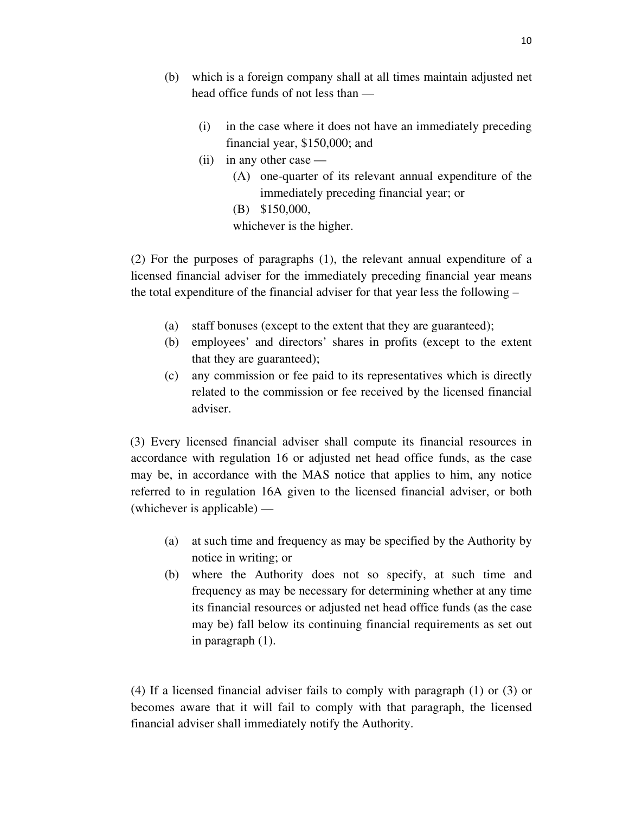- (b) which is a foreign company shall at all times maintain adjusted net head office funds of not less than —
	- (i) in the case where it does not have an immediately preceding financial year, \$150,000; and
	- (ii) in any other case
		- (A) one-quarter of its relevant annual expenditure of the immediately preceding financial year; or
		- (B) \$150,000,

whichever is the higher.

(2) For the purposes of paragraphs (1), the relevant annual expenditure of a licensed financial adviser for the immediately preceding financial year means the total expenditure of the financial adviser for that year less the following –

- (a) staff bonuses (except to the extent that they are guaranteed);
- (b) employees' and directors' shares in profits (except to the extent that they are guaranteed);
- (c) any commission or fee paid to its representatives which is directly related to the commission or fee received by the licensed financial adviser.

(3) Every licensed financial adviser shall compute its financial resources in accordance with regulation 16 or adjusted net head office funds, as the case may be, in accordance with the MAS notice that applies to him, any notice referred to in regulation 16A given to the licensed financial adviser, or both (whichever is applicable) —

- (a) at such time and frequency as may be specified by the Authority by notice in writing; or
- (b) where the Authority does not so specify, at such time and frequency as may be necessary for determining whether at any time its financial resources or adjusted net head office funds (as the case may be) fall below its continuing financial requirements as set out in paragraph (1).

(4) If a licensed financial adviser fails to comply with paragraph (1) or (3) or becomes aware that it will fail to comply with that paragraph, the licensed financial adviser shall immediately notify the Authority.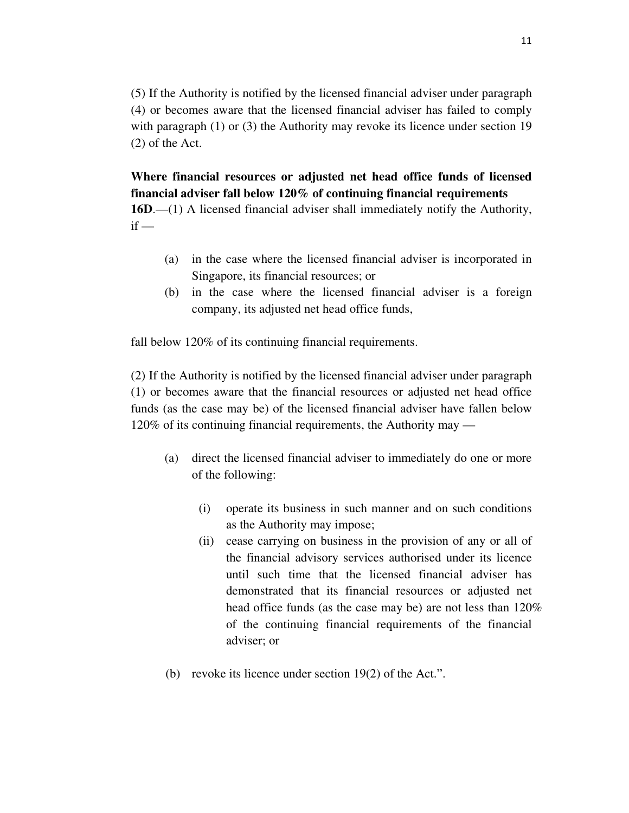(5) If the Authority is notified by the licensed financial adviser under paragraph (4) or becomes aware that the licensed financial adviser has failed to comply with paragraph (1) or (3) the Authority may revoke its licence under section 19 (2) of the Act.

**Where financial resources or adjusted net head office funds of licensed financial adviser fall below 120% of continuing financial requirements 16D**.—(1) A licensed financial adviser shall immediately notify the Authority,  $if -$ 

- (a) in the case where the licensed financial adviser is incorporated in Singapore, its financial resources; or
- (b) in the case where the licensed financial adviser is a foreign company, its adjusted net head office funds,

fall below 120% of its continuing financial requirements.

(2) If the Authority is notified by the licensed financial adviser under paragraph (1) or becomes aware that the financial resources or adjusted net head office funds (as the case may be) of the licensed financial adviser have fallen below 120% of its continuing financial requirements, the Authority may —

- (a) direct the licensed financial adviser to immediately do one or more of the following:
	- (i) operate its business in such manner and on such conditions as the Authority may impose;
	- (ii) cease carrying on business in the provision of any or all of the financial advisory services authorised under its licence until such time that the licensed financial adviser has demonstrated that its financial resources or adjusted net head office funds (as the case may be) are not less than 120% of the continuing financial requirements of the financial adviser; or
- (b) revoke its licence under section 19(2) of the Act.".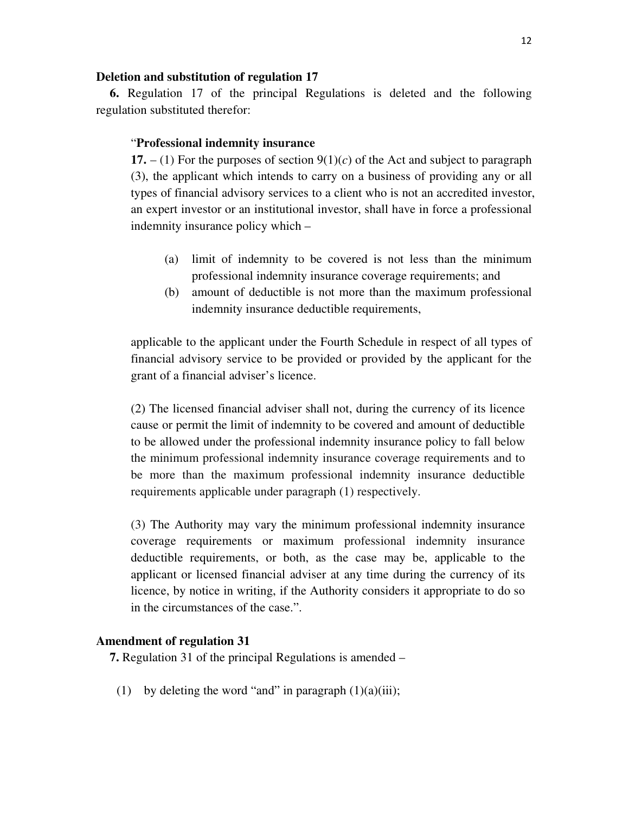#### **Deletion and substitution of regulation 17**

**6.** Regulation 17 of the principal Regulations is deleted and the following regulation substituted therefor:

#### "**Professional indemnity insurance**

**17.**  $- (1)$  For the purposes of section  $9(1)(c)$  of the Act and subject to paragraph (3), the applicant which intends to carry on a business of providing any or all types of financial advisory services to a client who is not an accredited investor, an expert investor or an institutional investor, shall have in force a professional indemnity insurance policy which –

- (a) limit of indemnity to be covered is not less than the minimum professional indemnity insurance coverage requirements; and
- (b) amount of deductible is not more than the maximum professional indemnity insurance deductible requirements,

applicable to the applicant under the Fourth Schedule in respect of all types of financial advisory service to be provided or provided by the applicant for the grant of a financial adviser's licence.

(2) The licensed financial adviser shall not, during the currency of its licence cause or permit the limit of indemnity to be covered and amount of deductible to be allowed under the professional indemnity insurance policy to fall below the minimum professional indemnity insurance coverage requirements and to be more than the maximum professional indemnity insurance deductible requirements applicable under paragraph (1) respectively.

(3) The Authority may vary the minimum professional indemnity insurance coverage requirements or maximum professional indemnity insurance deductible requirements, or both, as the case may be, applicable to the applicant or licensed financial adviser at any time during the currency of its licence, by notice in writing, if the Authority considers it appropriate to do so in the circumstances of the case.".

#### **Amendment of regulation 31**

**7.** Regulation 31 of the principal Regulations is amended –

(1) by deleting the word "and" in paragraph  $(1)(a)(iii)$ ;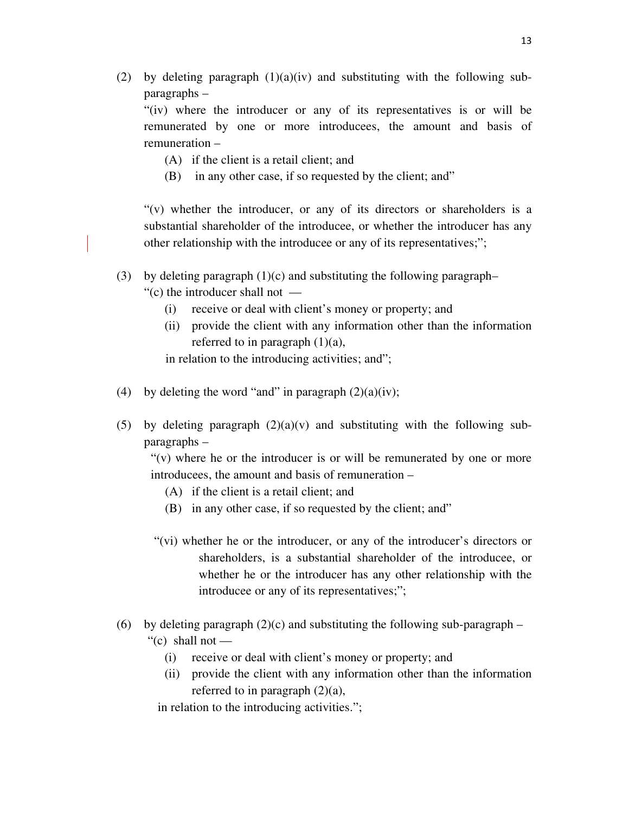(2) by deleting paragraph  $(1)(a)(iv)$  and substituting with the following subparagraphs –

"(iv) where the introducer or any of its representatives is or will be remunerated by one or more introducees, the amount and basis of remuneration –

- (A) if the client is a retail client; and
- (B) in any other case, if so requested by the client; and"

"(v) whether the introducer, or any of its directors or shareholders is a substantial shareholder of the introducee, or whether the introducer has any other relationship with the introducee or any of its representatives;";

- (3) by deleting paragraph (1)(c) and substituting the following paragraph–
	- "(c) the introducer shall not
		- (i) receive or deal with client's money or property; and
		- (ii) provide the client with any information other than the information referred to in paragraph  $(1)(a)$ ,

in relation to the introducing activities; and";

- (4) by deleting the word "and" in paragraph  $(2)(a)(iv)$ ;
- (5) by deleting paragraph  $(2)(a)(v)$  and substituting with the following subparagraphs –

 $f'(v)$  where he or the introducer is or will be remunerated by one or more introducees, the amount and basis of remuneration –

- (A) if the client is a retail client; and
- (B) in any other case, if so requested by the client; and"
- "(vi) whether he or the introducer, or any of the introducer's directors or shareholders, is a substantial shareholder of the introducee, or whether he or the introducer has any other relationship with the introducee or any of its representatives;";
- (6) by deleting paragraph  $(2)(c)$  and substituting the following sub-paragraph "(c) shall not  $-$ 
	- (i) receive or deal with client's money or property; and
	- (ii) provide the client with any information other than the information referred to in paragraph  $(2)(a)$ ,

in relation to the introducing activities.";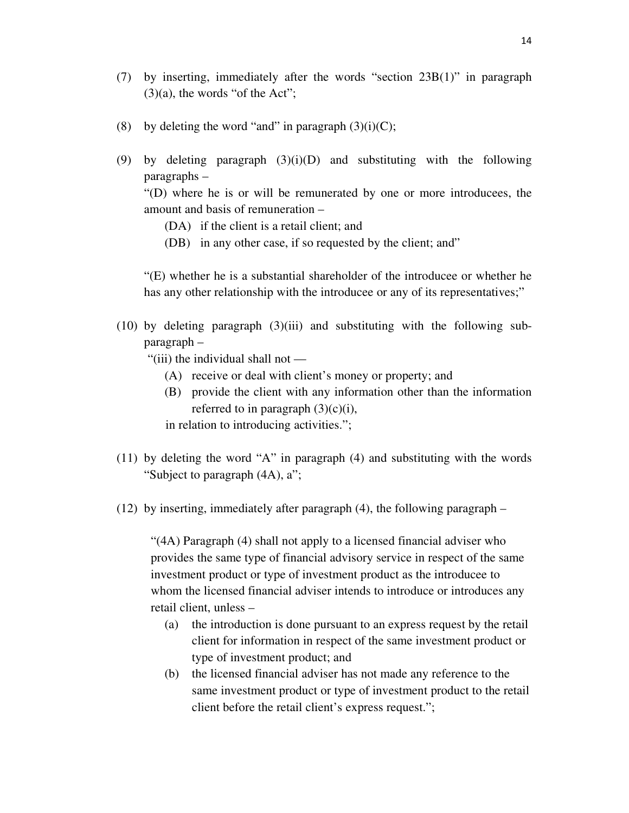- (7) by inserting, immediately after the words "section 23B(1)" in paragraph  $(3)(a)$ , the words "of the Act";
- (8) by deleting the word "and" in paragraph  $(3)(i)(C)$ ;
- (9) by deleting paragraph (3)(i)(D) and substituting with the following paragraphs –

"(D) where he is or will be remunerated by one or more introducees, the amount and basis of remuneration –

- (DA) if the client is a retail client; and
- (DB) in any other case, if so requested by the client; and"

"(E) whether he is a substantial shareholder of the introducee or whether he has any other relationship with the introducee or any of its representatives;"

(10) by deleting paragraph (3)(iii) and substituting with the following subparagraph –

"(iii) the individual shall not —

- (A) receive or deal with client's money or property; and
- (B) provide the client with any information other than the information referred to in paragraph  $(3)(c)(i)$ ,

in relation to introducing activities.";

- (11) by deleting the word "A" in paragraph (4) and substituting with the words "Subject to paragraph (4A), a";
- (12) by inserting, immediately after paragraph (4), the following paragraph –

"(4A) Paragraph (4) shall not apply to a licensed financial adviser who provides the same type of financial advisory service in respect of the same investment product or type of investment product as the introducee to whom the licensed financial adviser intends to introduce or introduces any retail client, unless –

- (a) the introduction is done pursuant to an express request by the retail client for information in respect of the same investment product or type of investment product; and
- (b) the licensed financial adviser has not made any reference to the same investment product or type of investment product to the retail client before the retail client's express request.";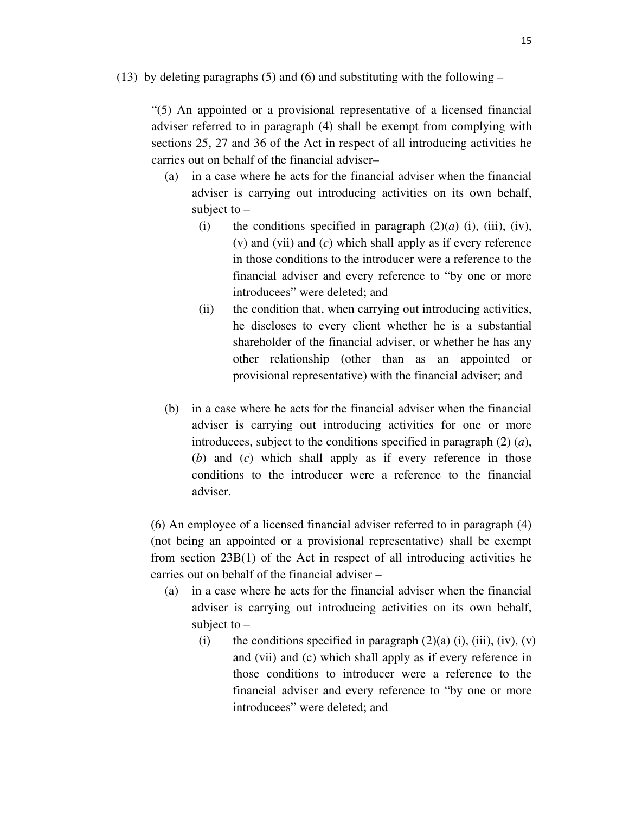(13) by deleting paragraphs (5) and (6) and substituting with the following  $-$ 

"(5) An appointed or a provisional representative of a licensed financial adviser referred to in paragraph (4) shall be exempt from complying with sections 25, 27 and 36 of the Act in respect of all introducing activities he carries out on behalf of the financial adviser–

- (a) in a case where he acts for the financial adviser when the financial adviser is carrying out introducing activities on its own behalf, subject to  $-$ 
	- (i) the conditions specified in paragraph  $(2)(a)$  (i), (iii), (iv), (v) and (vii) and (*c*) which shall apply as if every reference in those conditions to the introducer were a reference to the financial adviser and every reference to "by one or more introducees" were deleted; and
	- (ii) the condition that, when carrying out introducing activities, he discloses to every client whether he is a substantial shareholder of the financial adviser, or whether he has any other relationship (other than as an appointed or provisional representative) with the financial adviser; and
- (b) in a case where he acts for the financial adviser when the financial adviser is carrying out introducing activities for one or more introducees, subject to the conditions specified in paragraph (2) (*a*), (*b*) and (*c*) which shall apply as if every reference in those conditions to the introducer were a reference to the financial adviser.

(6) An employee of a licensed financial adviser referred to in paragraph (4) (not being an appointed or a provisional representative) shall be exempt from section 23B(1) of the Act in respect of all introducing activities he carries out on behalf of the financial adviser –

- (a) in a case where he acts for the financial adviser when the financial adviser is carrying out introducing activities on its own behalf, subject to  $-$ 
	- (i) the conditions specified in paragraph  $(2)(a)$  (i), (iii), (iv), (v) and (vii) and (c) which shall apply as if every reference in those conditions to introducer were a reference to the financial adviser and every reference to "by one or more introducees" were deleted; and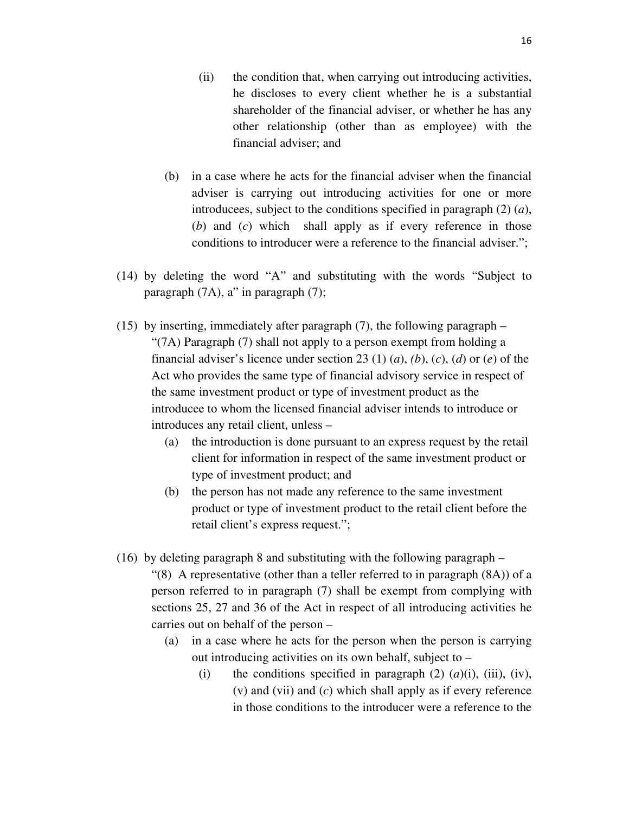- (ii) the condition that, when carrying out introducing activities, he discloses to every client whether he is a substantial shareholder of the financial adviser, or whether he has any other relationship (other than as employee) with the financial adviser; and
- (b) in a case where he acts for the financial adviser when the financial adviser is carrying out introducing activities for one or more introducees, subject to the conditions specified in paragraph (2) (*a*), (*b*) and (*c*) which shall apply as if every reference in those conditions to introducer were a reference to the financial adviser.";
- (14) by deleting the word "A" and substituting with the words "Subject to paragraph (7A), a" in paragraph (7);
- (15) by inserting, immediately after paragraph (7), the following paragraph "(7A) Paragraph (7) shall not apply to a person exempt from holding a financial adviser's licence under section 23 (1) (*a*), *(b*), (*c*), (*d*) or (*e*) of the Act who provides the same type of financial advisory service in respect of the same investment product or type of investment product as the introducee to whom the licensed financial adviser intends to introduce or introduces any retail client, unless –
	- (a) the introduction is done pursuant to an express request by the retail client for information in respect of the same investment product or type of investment product; and
	- (b) the person has not made any reference to the same investment product or type of investment product to the retail client before the retail client's express request.";
- (16) by deleting paragraph 8 and substituting with the following paragraph
	- $\degree$ (8) A representative (other than a teller referred to in paragraph (8A)) of a person referred to in paragraph (7) shall be exempt from complying with sections 25, 27 and 36 of the Act in respect of all introducing activities he carries out on behalf of the person –
		- (a) in a case where he acts for the person when the person is carrying out introducing activities on its own behalf, subject to –
			- (i) the conditions specified in paragraph  $(2)$   $(a)(i)$ ,  $(iii)$ ,  $(iv)$ , (v) and (vii) and (*c*) which shall apply as if every reference in those conditions to the introducer were a reference to the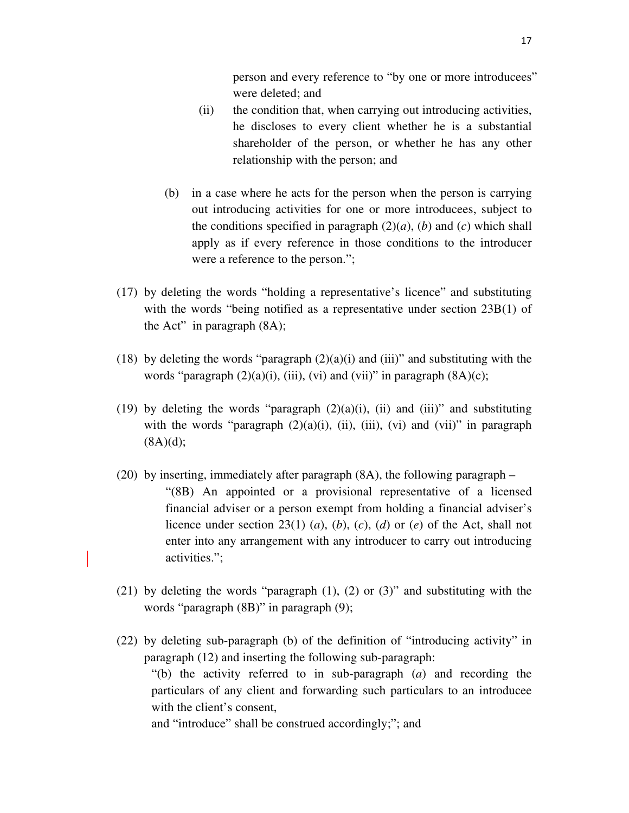person and every reference to "by one or more introducees" were deleted; and

- (ii) the condition that, when carrying out introducing activities, he discloses to every client whether he is a substantial shareholder of the person, or whether he has any other relationship with the person; and
- (b) in a case where he acts for the person when the person is carrying out introducing activities for one or more introducees, subject to the conditions specified in paragraph  $(2)(a)$ ,  $(b)$  and  $(c)$  which shall apply as if every reference in those conditions to the introducer were a reference to the person.";
- (17) by deleting the words "holding a representative's licence" and substituting with the words "being notified as a representative under section 23B(1) of the Act" in paragraph  $(8A)$ ;
- (18) by deleting the words "paragraph  $(2)(a)(i)$  and  $(iii)$ " and substituting with the words "paragraph  $(2)(a)(i)$ , (iii), (vi) and (vii)" in paragraph  $(8A)(c)$ ;
- (19) by deleting the words "paragraph  $(2)(a)(i)$ , (ii) and (iii)" and substituting with the words "paragraph  $(2)(a)(i)$ ,  $(ii)$ ,  $(iii)$ ,  $(vi)$  and  $(vii)$ " in paragraph  $(8A)(d);$
- (20) by inserting, immediately after paragraph (8A), the following paragraph "(8B) An appointed or a provisional representative of a licensed financial adviser or a person exempt from holding a financial adviser's licence under section 23(1) (*a*), (*b*), (*c*), (*d*) or (*e*) of the Act, shall not enter into any arrangement with any introducer to carry out introducing activities.";
- (21) by deleting the words "paragraph  $(1)$ ,  $(2)$  or  $(3)$ " and substituting with the words "paragraph (8B)" in paragraph (9);
- (22) by deleting sub-paragraph (b) of the definition of "introducing activity" in paragraph (12) and inserting the following sub-paragraph: "(b) the activity referred to in sub-paragraph (*a*) and recording the particulars of any client and forwarding such particulars to an introducee with the client's consent. and "introduce" shall be construed accordingly;"; and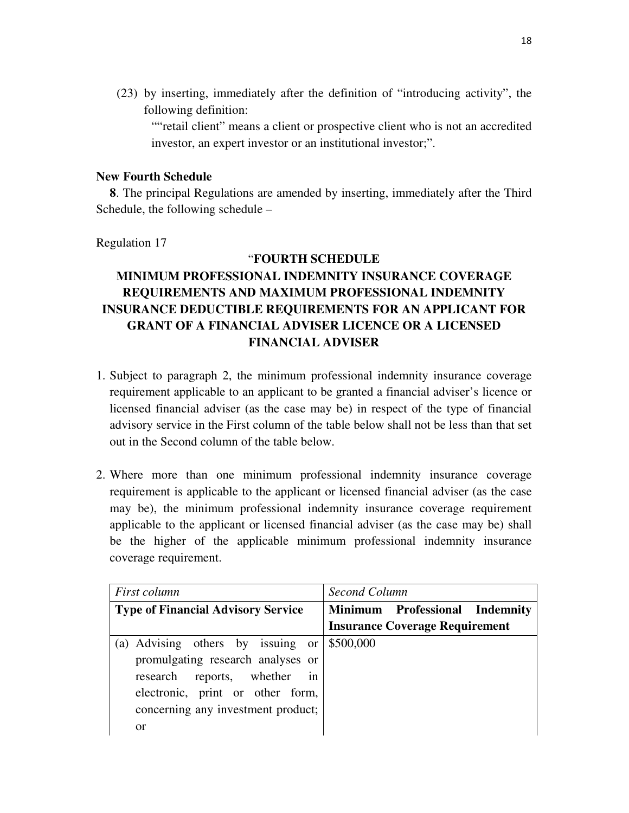(23) by inserting, immediately after the definition of "introducing activity", the following definition:

""retail client" means a client or prospective client who is not an accredited investor, an expert investor or an institutional investor;".

## **New Fourth Schedule**

**8**. The principal Regulations are amended by inserting, immediately after the Third Schedule, the following schedule –

Regulation 17

## "**FOURTH SCHEDULE**

# **MINIMUM PROFESSIONAL INDEMNITY INSURANCE COVERAGE REQUIREMENTS AND MAXIMUM PROFESSIONAL INDEMNITY INSURANCE DEDUCTIBLE REQUIREMENTS FOR AN APPLICANT FOR GRANT OF A FINANCIAL ADVISER LICENCE OR A LICENSED FINANCIAL ADVISER**

- 1. Subject to paragraph 2, the minimum professional indemnity insurance coverage requirement applicable to an applicant to be granted a financial adviser's licence or licensed financial adviser (as the case may be) in respect of the type of financial advisory service in the First column of the table below shall not be less than that set out in the Second column of the table below.
- 2. Where more than one minimum professional indemnity insurance coverage requirement is applicable to the applicant or licensed financial adviser (as the case may be), the minimum professional indemnity insurance coverage requirement applicable to the applicant or licensed financial adviser (as the case may be) shall be the higher of the applicable minimum professional indemnity insurance coverage requirement.

| First column                                          | Second Column                         |  |  |
|-------------------------------------------------------|---------------------------------------|--|--|
| <b>Type of Financial Advisory Service</b>             | Minimum Professional Indemnity        |  |  |
|                                                       | <b>Insurance Coverage Requirement</b> |  |  |
| (a) Advising others by issuing or $\frac{1}{500,000}$ |                                       |  |  |
| promulgating research analyses or                     |                                       |  |  |
| in<br>research reports, whether                       |                                       |  |  |
| electronic, print or other form,                      |                                       |  |  |
| concerning any investment product;                    |                                       |  |  |
| or                                                    |                                       |  |  |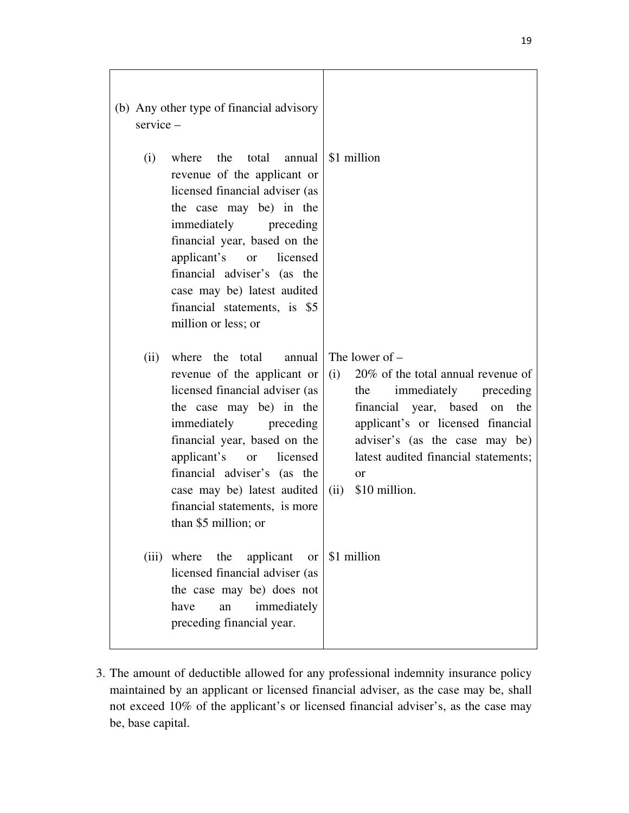| (b) Any other type of financial advisory<br>$s$ ervice $-$ |                                                                                                                                                                                                                                                                                                                                     |                                                                                                                                                                                                                                                                                    |
|------------------------------------------------------------|-------------------------------------------------------------------------------------------------------------------------------------------------------------------------------------------------------------------------------------------------------------------------------------------------------------------------------------|------------------------------------------------------------------------------------------------------------------------------------------------------------------------------------------------------------------------------------------------------------------------------------|
| (i)                                                        | where the total annual<br>revenue of the applicant or<br>licensed financial adviser (as<br>the case may be) in the<br>immediately<br>preceding<br>financial year, based on the<br>applicant's or licensed<br>financial adviser's (as the<br>case may be) latest audited<br>financial statements, is \$5<br>million or less; or      | \$1 million                                                                                                                                                                                                                                                                        |
| (ii)                                                       | where the total<br>annual<br>revenue of the applicant or<br>licensed financial adviser (as<br>the case may be) in the<br>immediately preceding<br>financial year, based on the<br>applicant's or<br>licensed<br>financial adviser's (as the<br>case may be) latest audited<br>financial statements, is more<br>than \$5 million; or | The lower of $-$<br>20% of the total annual revenue of<br>(i)<br>immediately preceding<br>the<br>financial year, based on the<br>applicant's or licensed financial<br>adviser's (as the case may be)<br>latest audited financial statements;<br><b>or</b><br>\$10 million.<br>(ii) |
|                                                            | (iii) where<br>the<br>applicant<br><sub>or</sub><br>licensed financial adviser (as<br>the case may be) does not<br>have<br>immediately<br>an<br>preceding financial year.                                                                                                                                                           | \$1 million                                                                                                                                                                                                                                                                        |

3. The amount of deductible allowed for any professional indemnity insurance policy maintained by an applicant or licensed financial adviser, as the case may be, shall not exceed 10% of the applicant's or licensed financial adviser's, as the case may be, base capital.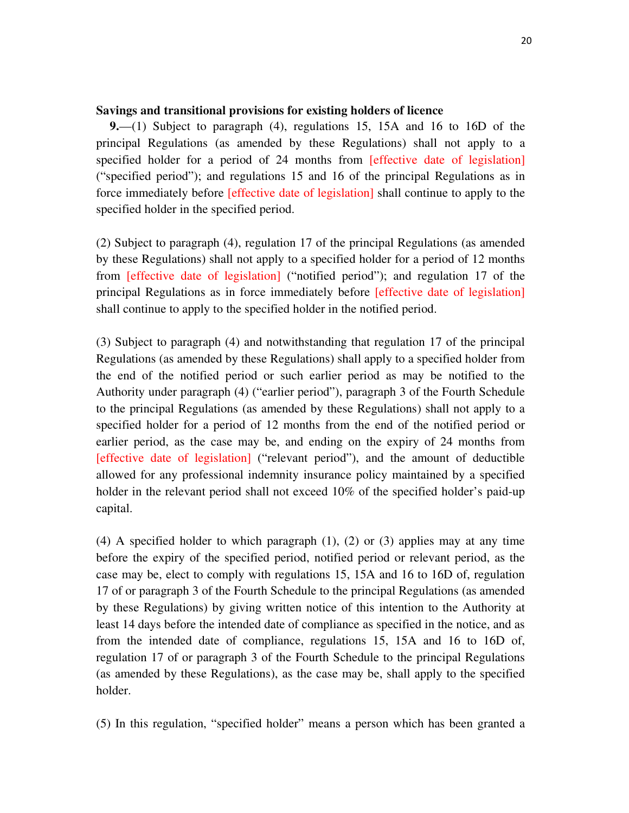#### **Savings and transitional provisions for existing holders of licence**

**9.**—(1) Subject to paragraph (4), regulations 15, 15A and 16 to 16D of the principal Regulations (as amended by these Regulations) shall not apply to a specified holder for a period of 24 months from [effective date of legislation] ("specified period"); and regulations 15 and 16 of the principal Regulations as in force immediately before [effective date of legislation] shall continue to apply to the specified holder in the specified period.

(2) Subject to paragraph (4), regulation 17 of the principal Regulations (as amended by these Regulations) shall not apply to a specified holder for a period of 12 months from [effective date of legislation] ("notified period"); and regulation 17 of the principal Regulations as in force immediately before [effective date of legislation] shall continue to apply to the specified holder in the notified period.

(3) Subject to paragraph (4) and notwithstanding that regulation 17 of the principal Regulations (as amended by these Regulations) shall apply to a specified holder from the end of the notified period or such earlier period as may be notified to the Authority under paragraph (4) ("earlier period"), paragraph 3 of the Fourth Schedule to the principal Regulations (as amended by these Regulations) shall not apply to a specified holder for a period of 12 months from the end of the notified period or earlier period, as the case may be, and ending on the expiry of 24 months from [effective date of legislation] ("relevant period"), and the amount of deductible allowed for any professional indemnity insurance policy maintained by a specified holder in the relevant period shall not exceed 10% of the specified holder's paid-up capital.

(4) A specified holder to which paragraph (1), (2) or (3) applies may at any time before the expiry of the specified period, notified period or relevant period, as the case may be, elect to comply with regulations 15, 15A and 16 to 16D of, regulation 17 of or paragraph 3 of the Fourth Schedule to the principal Regulations (as amended by these Regulations) by giving written notice of this intention to the Authority at least 14 days before the intended date of compliance as specified in the notice, and as from the intended date of compliance, regulations 15, 15A and 16 to 16D of, regulation 17 of or paragraph 3 of the Fourth Schedule to the principal Regulations (as amended by these Regulations), as the case may be, shall apply to the specified holder.

(5) In this regulation, "specified holder" means a person which has been granted a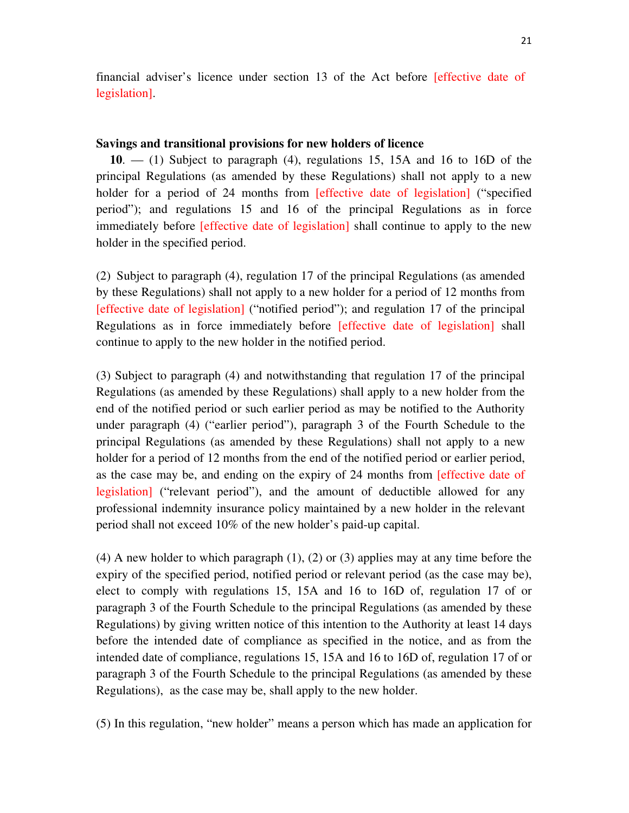financial adviser's licence under section 13 of the Act before [effective date of legislation].

#### **Savings and transitional provisions for new holders of licence**

**10**. — (1) Subject to paragraph (4), regulations 15, 15A and 16 to 16D of the principal Regulations (as amended by these Regulations) shall not apply to a new holder for a period of 24 months from [effective date of legislation] ("specified period"); and regulations 15 and 16 of the principal Regulations as in force immediately before [effective date of legislation] shall continue to apply to the new holder in the specified period.

(2) Subject to paragraph (4), regulation 17 of the principal Regulations (as amended by these Regulations) shall not apply to a new holder for a period of 12 months from [effective date of legislation] ("notified period"); and regulation 17 of the principal Regulations as in force immediately before [effective date of legislation] shall continue to apply to the new holder in the notified period.

(3) Subject to paragraph (4) and notwithstanding that regulation 17 of the principal Regulations (as amended by these Regulations) shall apply to a new holder from the end of the notified period or such earlier period as may be notified to the Authority under paragraph (4) ("earlier period"), paragraph 3 of the Fourth Schedule to the principal Regulations (as amended by these Regulations) shall not apply to a new holder for a period of 12 months from the end of the notified period or earlier period, as the case may be, and ending on the expiry of 24 months from [effective date of legislation] ("relevant period"), and the amount of deductible allowed for any professional indemnity insurance policy maintained by a new holder in the relevant period shall not exceed 10% of the new holder's paid-up capital.

(4) A new holder to which paragraph (1), (2) or (3) applies may at any time before the expiry of the specified period, notified period or relevant period (as the case may be), elect to comply with regulations 15, 15A and 16 to 16D of, regulation 17 of or paragraph 3 of the Fourth Schedule to the principal Regulations (as amended by these Regulations) by giving written notice of this intention to the Authority at least 14 days before the intended date of compliance as specified in the notice, and as from the intended date of compliance, regulations 15, 15A and 16 to 16D of, regulation 17 of or paragraph 3 of the Fourth Schedule to the principal Regulations (as amended by these Regulations), as the case may be, shall apply to the new holder.

(5) In this regulation, "new holder" means a person which has made an application for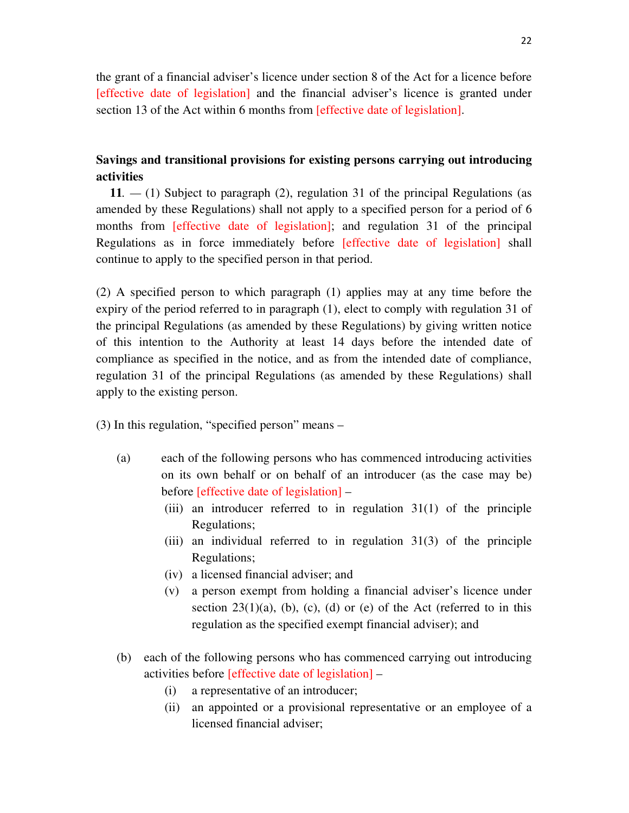the grant of a financial adviser's licence under section 8 of the Act for a licence before [effective date of legislation] and the financial adviser's licence is granted under section 13 of the Act within 6 months from [effective date of legislation].

# **Savings and transitional provisions for existing persons carrying out introducing activities**

**11***. —* (1) Subject to paragraph (2), regulation 31 of the principal Regulations (as amended by these Regulations) shall not apply to a specified person for a period of 6 months from [effective date of legislation]; and regulation 31 of the principal Regulations as in force immediately before [effective date of legislation] shall continue to apply to the specified person in that period.

(2) A specified person to which paragraph (1) applies may at any time before the expiry of the period referred to in paragraph (1), elect to comply with regulation 31 of the principal Regulations (as amended by these Regulations) by giving written notice of this intention to the Authority at least 14 days before the intended date of compliance as specified in the notice, and as from the intended date of compliance, regulation 31 of the principal Regulations (as amended by these Regulations) shall apply to the existing person.

(3) In this regulation, "specified person" means –

- (a) each of the following persons who has commenced introducing activities on its own behalf or on behalf of an introducer (as the case may be) before [effective date of legislation] –
	- (iii) an introducer referred to in regulation 31(1) of the principle Regulations;
	- (iii) an individual referred to in regulation 31(3) of the principle Regulations;
	- (iv) a licensed financial adviser; and
	- (v) a person exempt from holding a financial adviser's licence under section  $23(1)(a)$ , (b), (c), (d) or (e) of the Act (referred to in this regulation as the specified exempt financial adviser); and
- (b) each of the following persons who has commenced carrying out introducing activities before [effective date of legislation] –
	- (i) a representative of an introducer;
	- (ii) an appointed or a provisional representative or an employee of a licensed financial adviser;